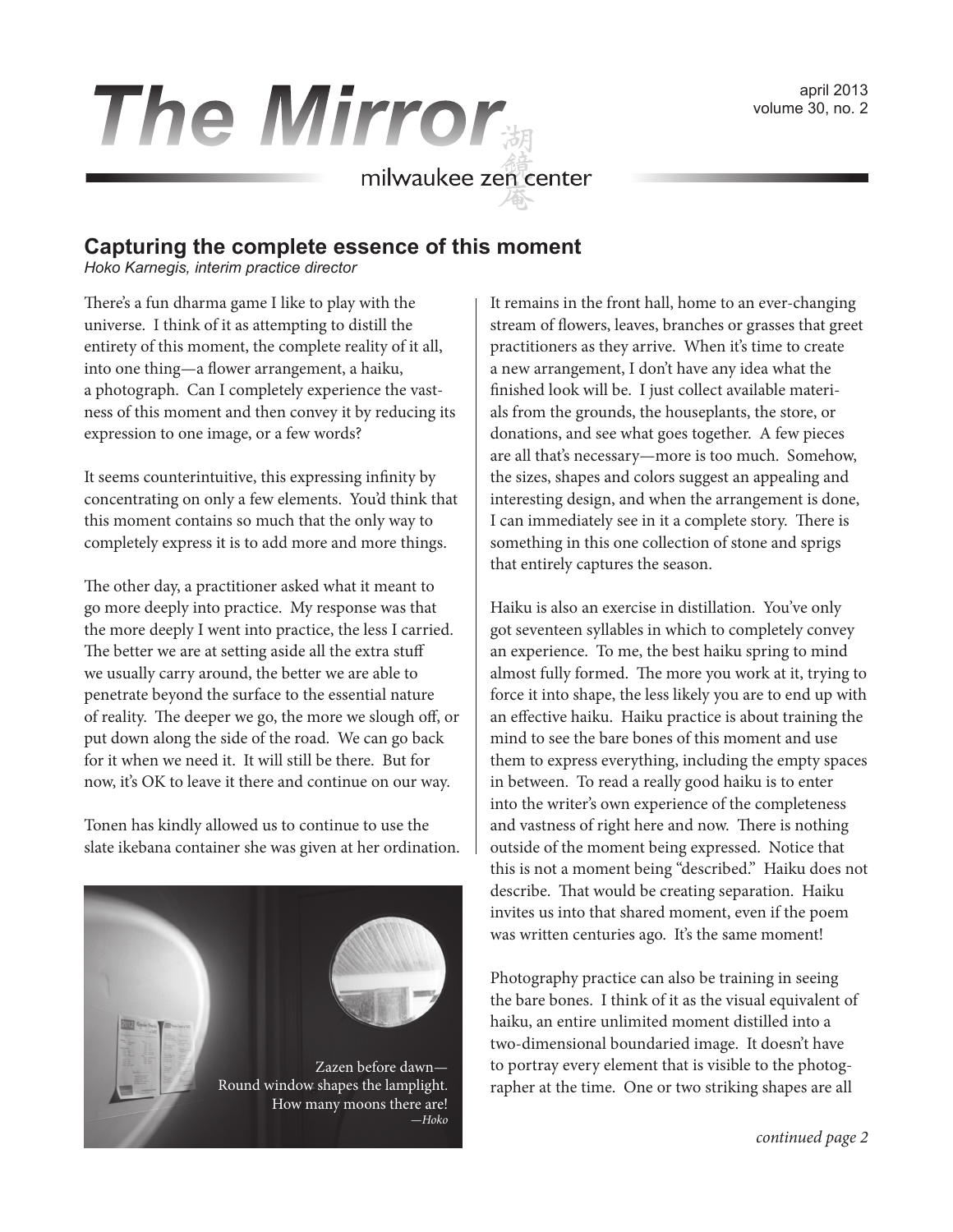volume 30, no. 2

# **The Mirror**<br>
milwaukee zen center

### **Capturing the complete essence of this moment**

*Hoko Karnegis, interim practice director*

There's a fun dharma game I like to play with the universe. I think of it as attempting to distill the entirety of this moment, the complete reality of it all, into one thing—a flower arrangement, a haiku, a photograph. Can I completely experience the vastness of this moment and then convey it by reducing its expression to one image, or a few words?

It seems counterintuitive, this expressing infinity by concentrating on only a few elements. You'd think that this moment contains so much that the only way to completely express it is to add more and more things.

The other day, a practitioner asked what it meant to go more deeply into practice. My response was that the more deeply I went into practice, the less I carried. The better we are at setting aside all the extra stuff we usually carry around, the better we are able to penetrate beyond the surface to the essential nature of reality. The deeper we go, the more we slough off, or put down along the side of the road. We can go back for it when we need it. It will still be there. But for now, it's OK to leave it there and continue on our way.

Tonen has kindly allowed us to continue to use the slate ikebana container she was given at her ordination.



It remains in the front hall, home to an ever-changing stream of flowers, leaves, branches or grasses that greet practitioners as they arrive. When it's time to create a new arrangement, I don't have any idea what the finished look will be. I just collect available materials from the grounds, the houseplants, the store, or donations, and see what goes together. A few pieces are all that's necessary—more is too much. Somehow, the sizes, shapes and colors suggest an appealing and interesting design, and when the arrangement is done, I can immediately see in it a complete story. There is something in this one collection of stone and sprigs that entirely captures the season.

Haiku is also an exercise in distillation. You've only got seventeen syllables in which to completely convey an experience. To me, the best haiku spring to mind almost fully formed. The more you work at it, trying to force it into shape, the less likely you are to end up with an effective haiku. Haiku practice is about training the mind to see the bare bones of this moment and use them to express everything, including the empty spaces in between. To read a really good haiku is to enter into the writer's own experience of the completeness and vastness of right here and now. There is nothing outside of the moment being expressed. Notice that this is not a moment being "described." Haiku does not describe. That would be creating separation. Haiku invites us into that shared moment, even if the poem was written centuries ago. It's the same moment!

Photography practice can also be training in seeing the bare bones. I think of it as the visual equivalent of haiku, an entire unlimited moment distilled into a two-dimensional boundaried image. It doesn't have to portray every element that is visible to the photographer at the time. One or two striking shapes are all

*continued page 2*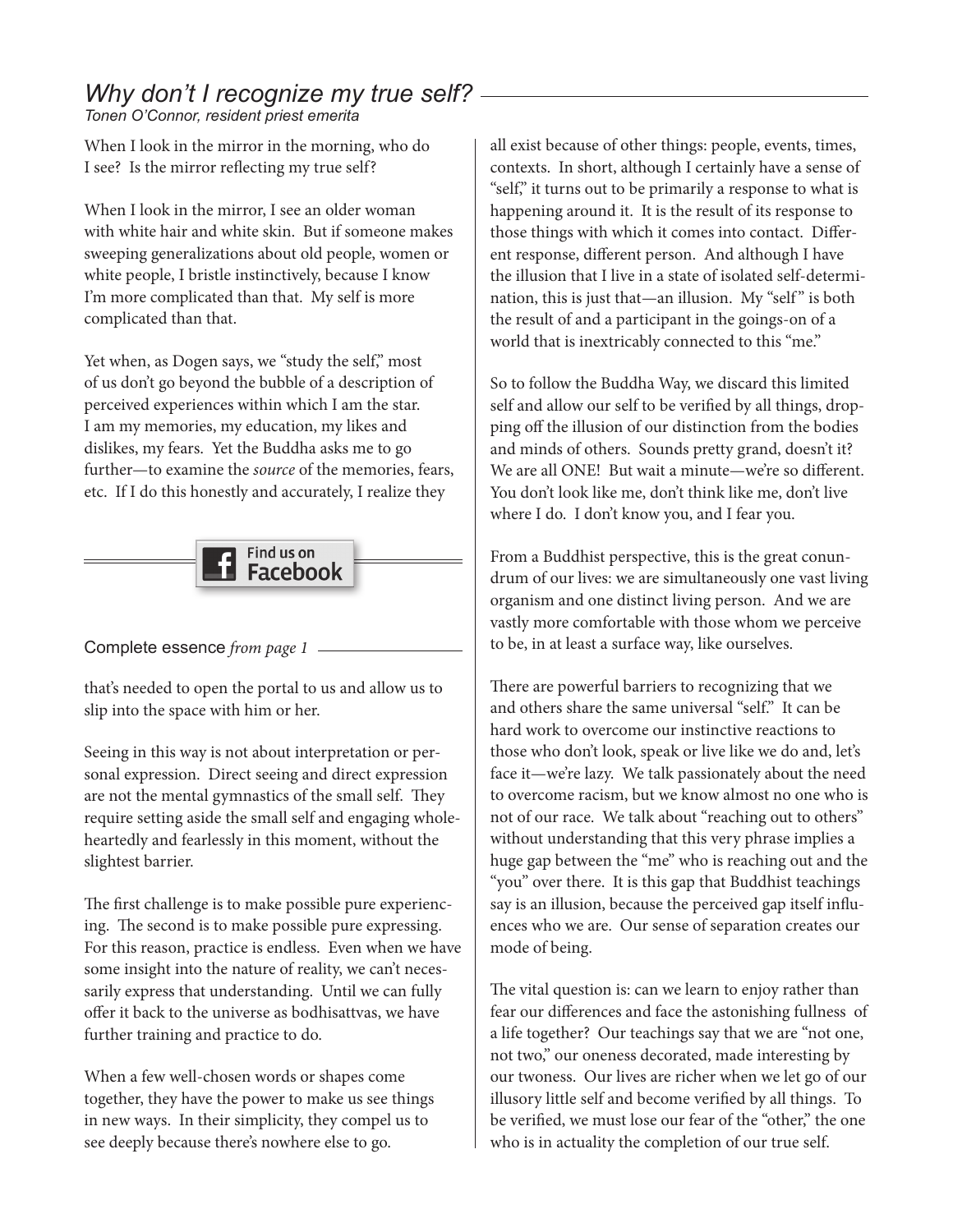# *Why don't I recognize my true self?*

*Tonen O'Connor, resident priest emerita*

When I look in the mirror in the morning, who do I see? Is the mirror reflecting my true self?

When I look in the mirror, I see an older woman with white hair and white skin. But if someone makes sweeping generalizations about old people, women or white people, I bristle instinctively, because I know I'm more complicated than that. My self is more complicated than that.

Yet when, as Dogen says, we "study the self," most of us don't go beyond the bubble of a description of perceived experiences within which I am the star. I am my memories, my education, my likes and dislikes, my fears. Yet the Buddha asks me to go further—to examine the *source* of the memories, fears, etc. If I do this honestly and accurately, I realize they



Complete essence *from page 1*

that's needed to open the portal to us and allow us to slip into the space with him or her.

Seeing in this way is not about interpretation or personal expression. Direct seeing and direct expression are not the mental gymnastics of the small self. They require setting aside the small self and engaging wholeheartedly and fearlessly in this moment, without the slightest barrier.

The first challenge is to make possible pure experiencing. The second is to make possible pure expressing. For this reason, practice is endless. Even when we have some insight into the nature of reality, we can't necessarily express that understanding. Until we can fully offer it back to the universe as bodhisattvas, we have further training and practice to do.

When a few well-chosen words or shapes come together, they have the power to make us see things in new ways. In their simplicity, they compel us to see deeply because there's nowhere else to go.

all exist because of other things: people, events, times, contexts. In short, although I certainly have a sense of "self," it turns out to be primarily a response to what is happening around it. It is the result of its response to those things with which it comes into contact. Different response, different person. And although I have the illusion that I live in a state of isolated self-determination, this is just that—an illusion. My "self" is both the result of and a participant in the goings-on of a world that is inextricably connected to this "me."

So to follow the Buddha Way, we discard this limited self and allow our self to be verified by all things, dropping off the illusion of our distinction from the bodies and minds of others. Sounds pretty grand, doesn't it? We are all ONE! But wait a minute—we're so different. You don't look like me, don't think like me, don't live where I do. I don't know you, and I fear you.

From a Buddhist perspective, this is the great conundrum of our lives: we are simultaneously one vast living organism and one distinct living person. And we are vastly more comfortable with those whom we perceive to be, in at least a surface way, like ourselves.

There are powerful barriers to recognizing that we and others share the same universal "self." It can be hard work to overcome our instinctive reactions to those who don't look, speak or live like we do and, let's face it—we're lazy. We talk passionately about the need to overcome racism, but we know almost no one who is not of our race. We talk about "reaching out to others" without understanding that this very phrase implies a huge gap between the "me" who is reaching out and the "you" over there. It is this gap that Buddhist teachings say is an illusion, because the perceived gap itself influences who we are. Our sense of separation creates our mode of being.

The vital question is: can we learn to enjoy rather than fear our differences and face the astonishing fullness of a life together? Our teachings say that we are "not one, not two," our oneness decorated, made interesting by our twoness. Our lives are richer when we let go of our illusory little self and become verified by all things. To be verified, we must lose our fear of the "other," the one who is in actuality the completion of our true self.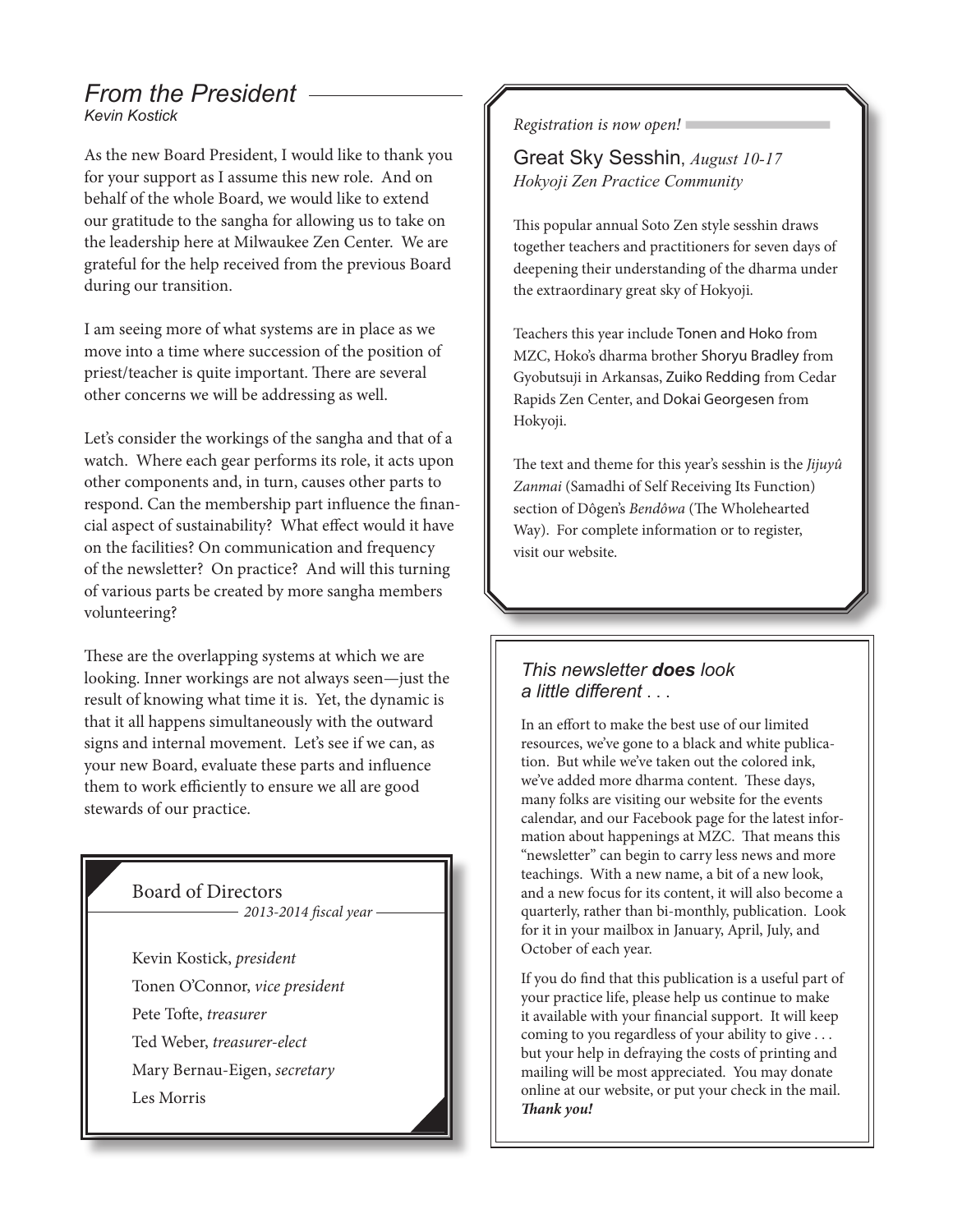#### *From the President Kevin Kostick*

As the new Board President, I would like to thank you for your support as I assume this new role. And on behalf of the whole Board, we would like to extend our gratitude to the sangha for allowing us to take on the leadership here at Milwaukee Zen Center. We are grateful for the help received from the previous Board during our transition.

I am seeing more of what systems are in place as we move into a time where succession of the position of priest/teacher is quite important. There are several other concerns we will be addressing as well.

Let's consider the workings of the sangha and that of a watch. Where each gear performs its role, it acts upon other components and, in turn, causes other parts to respond. Can the membership part influence the financial aspect of sustainability? What effect would it have on the facilities? On communication and frequency of the newsletter? On practice? And will this turning of various parts be created by more sangha members volunteering?

These are the overlapping systems at which we are looking. Inner workings are not always seen—just the result of knowing what time it is. Yet, the dynamic is that it all happens simultaneously with the outward signs and internal movement. Let's see if we can, as your new Board, evaluate these parts and influence them to work efficiently to ensure we all are good stewards of our practice.

## Board of Directors

- *2013-2014 fiscal year*
- Kevin Kostick, *president* Tonen O'Connor, *vice president* Pete Tofte, *treasurer*
- Ted Weber, *treasurer-elect*
- Mary Bernau-Eigen, *secretary*
- Les Morris

#### *Registration is now open!*

Great Sky Sesshin, *August 10-17 Hokyoji Zen Practice Community*

This popular annual Soto Zen style sesshin draws together teachers and practitioners for seven days of deepening their understanding of the dharma under the extraordinary great sky of Hokyoji.

Teachers this year include Tonen and Hoko from MZC, Hoko's dharma brother Shoryu Bradley from Gyobutsuji in Arkansas, Zuiko Redding from Cedar Rapids Zen Center, and Dokai Georgesen from Hokyoji.

The text and theme for this year's sesshin is the *Jijuyû Zanmai* (Samadhi of Self Receiving Its Function) section of Dôgen's *Bendôwa* (The Wholehearted Way). For complete information or to register, visit our website.

#### *This newsletter does look a little different* . . .

In an effort to make the best use of our limited resources, we've gone to a black and white publication. But while we've taken out the colored ink, we've added more dharma content. These days, many folks are visiting our website for the events calendar, and our Facebook page for the latest information about happenings at MZC. That means this "newsletter" can begin to carry less news and more teachings. With a new name, a bit of a new look, and a new focus for its content, it will also become a quarterly, rather than bi-monthly, publication. Look for it in your mailbox in January, April, July, and October of each year.

If you do find that this publication is a useful part of your practice life, please help us continue to make it available with your financial support. It will keep coming to you regardless of your ability to give . . . but your help in defraying the costs of printing and mailing will be most appreciated. You may donate online at our website, or put your check in the mail. *Thank you!*